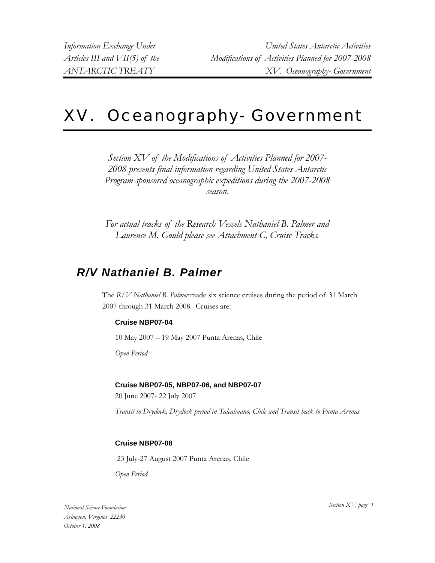# XV. Oceanography- Government

*Section XV of the Modifications of Activities Planned for 2007- 2008 presents final information regarding United States Antarctic Program sponsored oceanographic expeditions during the 2007-2008 season.*

*For actual tracks of the Research Vessels Nathaniel B. Palmer and Laurence M. Gould please see Attachment C, Cruise Tracks.*

# *R/V Nathaniel B. Palmer*

The *R/V Nathaniel B. Palmer* made six science cruises during the period of 31 March 2007 through 31 March 2008. Cruises are:

# **Cruise NBP07-04**

10 May 2007 – 19 May 2007 Punta Arenas, Chile

*Open Period* 

# **Cruise NBP07-05, NBP07-06, and NBP07-07**

20 June 2007- 22 July 2007

*Transit to Drydock, Drydock period in Talcahuano, Chile and Transit back to Punta Arenas* 

# **Cruise NBP07-08**

23 July-27 August 2007 Punta Arenas, Chile

*Open Period* 

*Section XV, page 1 National Science Foundation Arlington, Virginia 22230 October 1, 2008*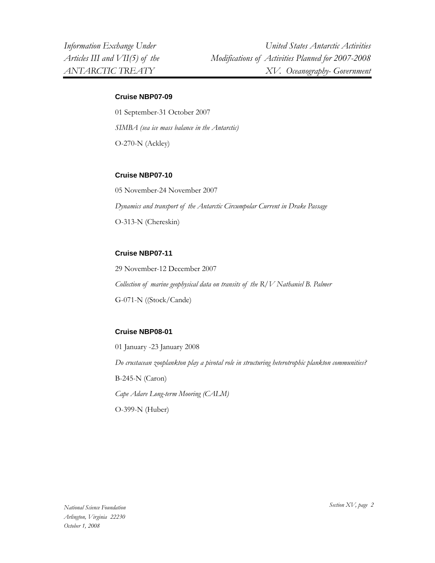#### **Cruise NBP07-09**

01 September-31 October 2007 *SIMBA (sea ice mass balance in the Antarctic)*  O-270-N (Ackley)

#### **Cruise NBP07-10**

05 November-24 November 2007 *Dynamics and transport of the Antarctic Circumpolar Current in Drake Passage*  O-313-N (Chereskin)

#### **Cruise NBP07-11**

29 November-12 December 2007 *Collection of marine geophysical data on transits of the R/V Nathaniel B. Palmer*  G-071-N ((Stock/Cande)

#### **Cruise NBP08-01**

01 January -23 January 2008 *Do crustacean zooplankton play a pivotal role in structuring heterotrophic plankton communities?*  B-245-N (Caron) *Cape Adare Long-term Mooring (CALM)*  O-399-N (Huber)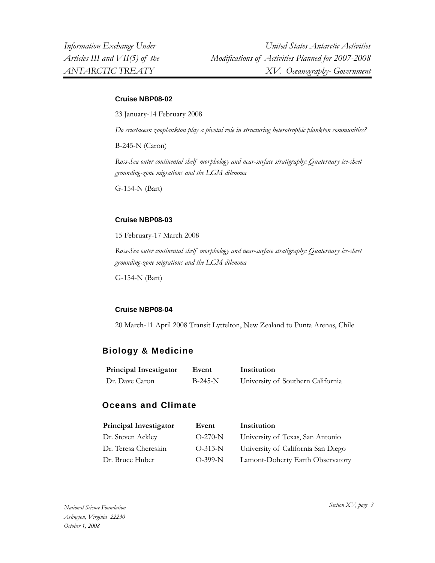#### **Cruise NBP08-02**

23 January-14 February 2008

*Do crustacean zooplankton play a pivotal role in structuring heterotrophic plankton communities?* 

B-245-N (Caron)

*Ross-Sea outer continental shelf morphology and near-surface stratigraphy: Quaternary ice-sheet grounding-zone migrations and the LGM dilemma* 

G-154-N (Bart)

#### **Cruise NBP08-03**

15 February-17 March 2008

*Ross-Sea outer continental shelf morphology and near-surface stratigraphy: Quaternary ice-sheet grounding-zone migrations and the LGM dilemma* 

G-154-N (Bart)

#### **Cruise NBP08-04**

20 March-11 April 2008 Transit Lyttelton, New Zealand to Punta Arenas, Chile

# **Biology & Medicine**

| <b>Principal Investigator</b> | Event     | Institution                       |
|-------------------------------|-----------|-----------------------------------|
| Dr. Dave Caron                | $B-245-N$ | University of Southern California |

# **Oceans and Climate**

| <b>Principal Investigator</b> | Event     | Institution                        |
|-------------------------------|-----------|------------------------------------|
| Dr. Steven Ackley             | $O-270-N$ | University of Texas, San Antonio   |
| Dr. Teresa Chereskin          | $O-313-N$ | University of California San Diego |
| Dr. Bruce Huber               | $O-399-N$ | Lamont-Doherty Earth Observatory   |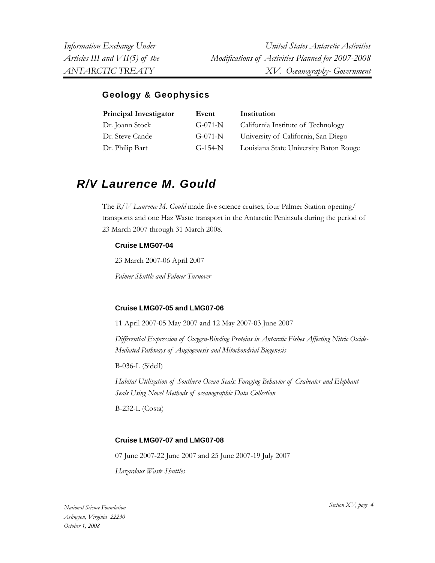# **Geology & Geophysics**

| Principal Investigator | Event     | Institution                            |
|------------------------|-----------|----------------------------------------|
| Dr. Joann Stock        | $G-071-N$ | California Institute of Technology     |
| Dr. Steve Cande        | $G-071-N$ | University of California, San Diego    |
| Dr. Philip Bart        | $G-154-N$ | Louisiana State University Baton Rouge |

# *R/V Laurence M. Gould*

The *R/V Laurence M. Gould* made five science cruises, four Palmer Station opening/ transports and one Haz Waste transport in the Antarctic Peninsula during the period of 23 March 2007 through 31 March 2008.

# **Cruise LMG07-04**

23 March 2007-06 April 2007

*Palmer Shuttle and Palmer Turnover* 

# **Cruise LMG07-05 and LMG07-06**

11 April 2007-05 May 2007 and 12 May 2007-03 June 2007

*Differential Expression of Oxygen-Binding Proteins in Antarctic Fishes Affecting Nitric Oxide-Mediated Pathways of Angiogenesis and Mitochondrial Biogenesis* 

B-036-L (Sidell)

*Habitat Utilization of Southern Ocean Seals: Foraging Behavior of Crabeater and Elephant Seals Using Novel Methods of oceanographic Data Collection* 

B-232-L (Costa)

# **Cruise LMG07-07 and LMG07-08**

07 June 2007-22 June 2007 and 25 June 2007-19 July 2007

*Hazardous Waste Shuttles* 

*Section XV, page 4 National Science Foundation Arlington, Virginia 22230 October 1, 2008*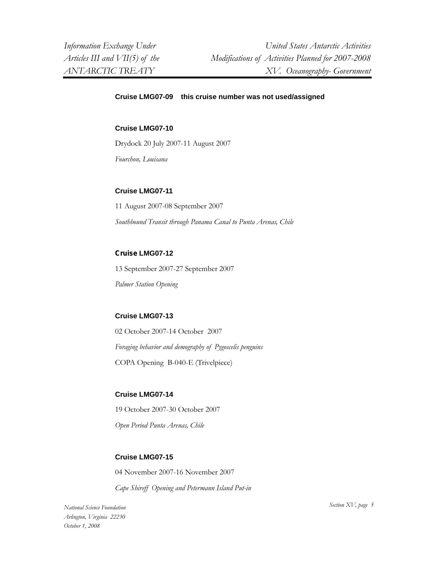#### **Cruise LMG07-09 this cruise number was not used/assigned**

#### **Cruise LMG07-10**

Drydock 20 July 2007-11 August 2007

*Fourchon, Louisana* 

#### **Cruise LMG07-11**

11 August 2007-08 September 2007 *Southbound Transit through Panama Canal to Punta Arenas, Chile* 

#### **Cruise LMG07-12**

13 September 2007-27 September 2007 *Palmer Station Opening* 

### **Cruise LMG07-13**

02 October 2007-14 October 2007 *Foraging behavior and demography of Pygoscelis penguins*  COPA Opening B-040-E (Trivelpiece)

#### **Cruise LMG07-14**

19 October 2007-30 October 2007 *Open Period Punta Arenas, Chile* 

### **Cruise LMG07-15**

04 November 2007-16 November 2007

*Cape Shireff Opening and Petermann Island Put-in* 

*Section XV, page 5 National Science Foundation Arlington, Virginia 22230 October 1, 2008*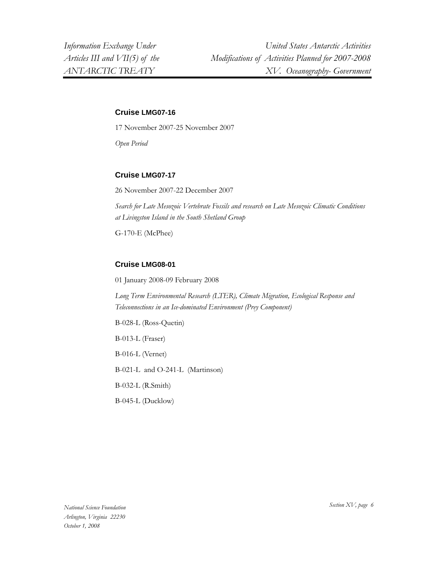### **Cruise LMG07-16**

17 November 2007-25 November 2007

*Open Period* 

# **Cruise LMG07-17**

26 November 2007-22 December 2007

*Search for Late Mesozoic Vertebrate Fossils and research on Late Mesozoic Climatic Conditions at Livingston Island in the South Shetland Group* 

G-170-E (McPhee)

# **Cruise LMG08-01**

01 January 2008-09 February 2008

*Long Term Environmental Research (LTER), Climate Migration, Ecological Response and Teleconnections in an Ice-dominated Environment (Prey Component)* 

B-028-L (Ross-Quetin) B-013-L (Fraser) B-016-L (Vernet) B-021-L and O-241-L (Martinson) B-032-L (R.Smith)

B-045-L (Ducklow)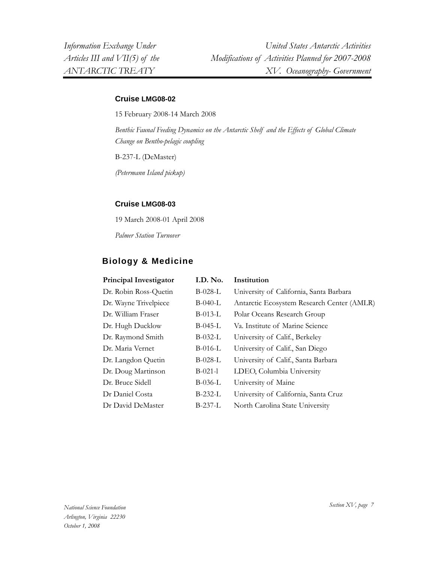### **Cruise LMG08-02**

15 February 2008-14 March 2008

*Benthic Faunal Feeding Dynamics on the Antarctic Shelf and the Effects of Global Climate Change on Bentho-pelagic coupling* 

B-237-L (DeMaster)

*(Petermann Island pickup)* 

#### **Cruise LMG08-03**

19 March 2008-01 April 2008

*Palmer Station Turnover* 

# **Biology & Medicine**

| Principal Investigator | I.D. No.  | Institution                                |
|------------------------|-----------|--------------------------------------------|
| Dr. Robin Ross-Quetin  | $B-028-L$ | University of California, Santa Barbara    |
| Dr. Wayne Trivelpiece  | B-040-L   | Antarctic Ecosystem Research Center (AMLR) |
| Dr. William Fraser     | $B-013-L$ | Polar Oceans Research Group                |
| Dr. Hugh Ducklow       | $B-045-L$ | Va. Institute of Marine Science            |
| Dr. Raymond Smith      | $B-032-L$ | University of Calif., Berkeley             |
| Dr. Maria Vernet       | B-016-L   | University of Calif., San Diego            |
| Dr. Langdon Quetin     | $B-028-L$ | University of Calif., Santa Barbara        |
| Dr. Doug Martinson     | $B-021-1$ | LDEO, Columbia University                  |
| Dr. Bruce Sidell       | B-036-L   | University of Maine                        |
| Dr Daniel Costa        | B-232-L   | University of California, Santa Cruz       |
| Dr David DeMaster      | $B-237-L$ | North Carolina State University            |